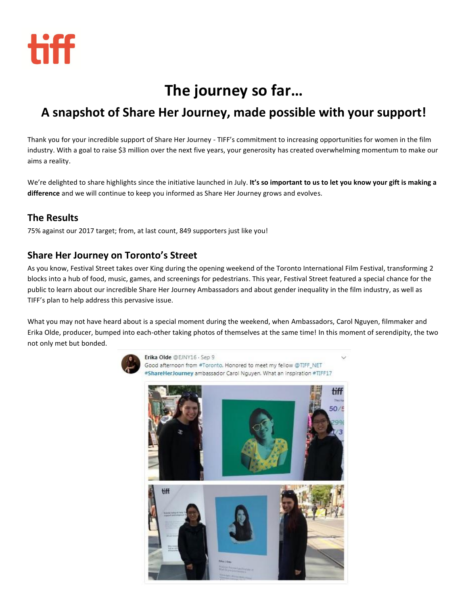

# **The journey so far…**

## **A snapshot of Share Her Journey, made possible with your support!**

Thank you for your incredible support of Share Her Journey - TIFF's commitment to increasing opportunities for women in the film industry. With a goal to raise \$3 million over the next five years, your generosity has created overwhelming momentum to make our aims a reality.

We're delighted to share highlights since the initiative launched in July. **It's so important to us to let you know your gift is making a difference** and we will continue to keep you informed as Share Her Journey grows and evolves.

### **The Results**

75% against our 2017 target; from, at last count, 849 supporters just like you!

### **Share Her Journey on Toronto's Street**

As you know, Festival Street takes over King during the opening weekend of the Toronto International Film Festival, transforming 2 blocks into a hub of food, music, games, and screenings for pedestrians. This year, Festival Street featured a special chance for the public to learn about our incredible Share Her Journey Ambassadors and about gender inequality in the film industry, as well as TIFF's plan to help address this pervasive issue.

What you may not have heard about is a special moment during the weekend, when Ambassadors, Carol Nguyen, filmmaker and Erika Olde, producer, bumped into each-other taking photos of themselves at the same time! In this moment of serendipity, the two not only met but bonded.



Erika Olde @EJNY16 . Sep 9 Good afternoon from #Toronto. Honored to meet my fellow @TIFF\_NET #ShareHerJourney ambassador Carol Nguyen. What an inspiration #TIFF17

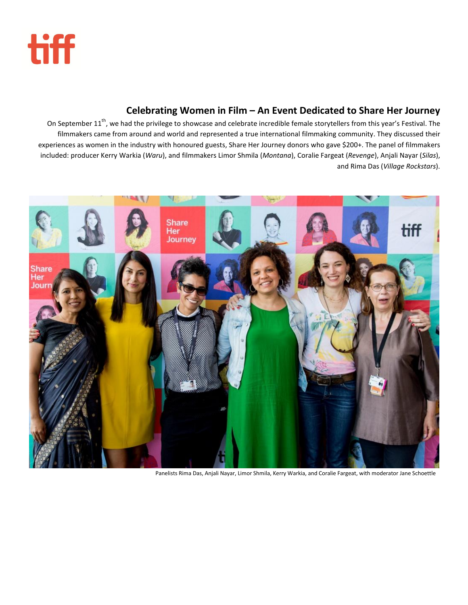

### **Celebrating Women in Film – An Event Dedicated to Share Her Journey**

On September 11<sup>th</sup>, we had the privilege to showcase and celebrate incredible female storytellers from this year's Festival. The filmmakers came from around and world and represented a true international filmmaking community. They discussed their experiences as women in the industry with honoured guests, Share Her Journey donors who gave \$200+. The panel of filmmakers included: producer Kerry Warkia (*Waru*), and filmmakers Limor Shmila (*Montana*), Coralie Fargeat (*Revenge*), Anjali Nayar (*Silas*), and Rima Das (*Village Rockstars*).



Panelists Rima Das, Anjali Nayar, Limor Shmila, Kerry Warkia, and Coralie Fargeat, with moderator Jane Schoettle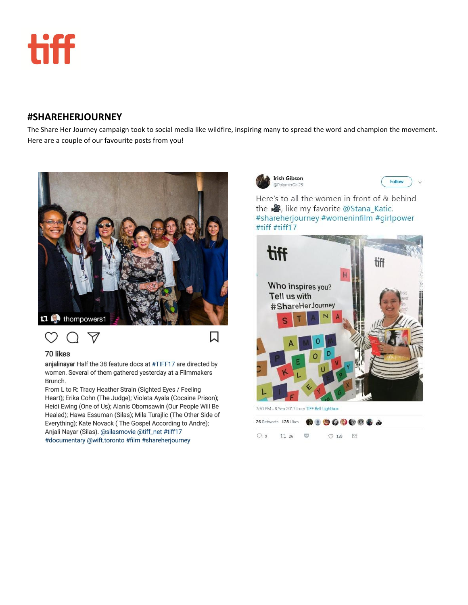

### **#SHAREHERJOURNEY**

The Share Her Journey campaign took to social media like wildfire, inspiring many to spread the word and champion the movement. Here are a couple of our favourite posts from you!

口



## $\heartsuit$

#### 70 likes

anjalinayar Half the 38 feature docs at #TIFF17 are directed by women. Several of them gathered yesterday at a Filmmakers Brunch.

From L to R: Tracy Heather Strain (Sighted Eyes / Feeling Heart); Erika Cohn (The Judge); Violeta Ayala (Cocaine Prison); Heidi Ewing (One of Us); Alanis Obomsawin (Our People Will Be Healed); Hawa Essuman (Silas); Mila Turajlic (The Other Side of Everything); Kate Novack (The Gospel According to Andre); Anjali Nayar (Silas). @silasmovie @tiff\_net #tiff17 #documentary @wift.toronto #film #shareherjourney





Here's to all the women in front of & behind the **&**, like my favorite @Stana\_Katic. #shareherjourney #womeninfilm #girlpower #tiff #tiff17